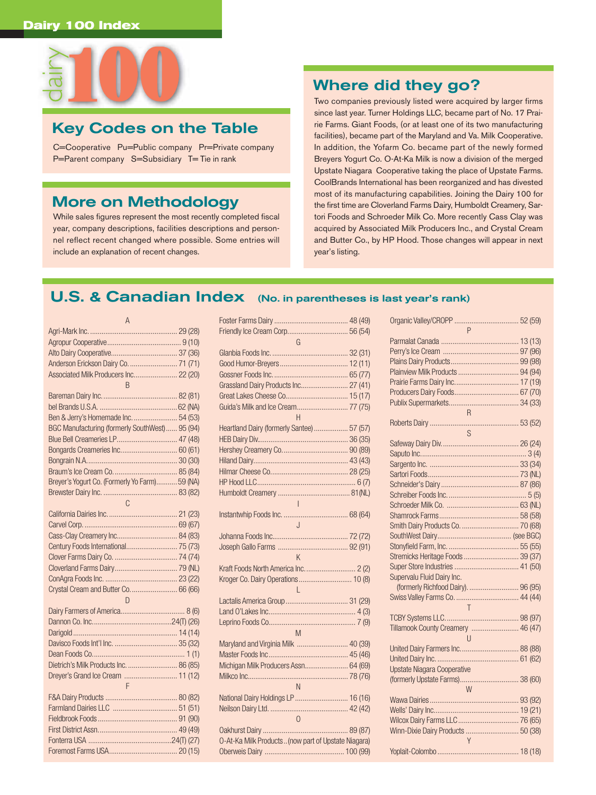

## **Key Codes on the Table**

C=Cooperative Pu=Public company Pr=Private company P=Parent company S=Subsidiary T= Tie in rank

## **More on Methodology**

While sales figures represent the most recently completed fiscal year, company descriptions, facilities descriptions and personnel reflect recent changed where possible. Some entries will include an explanation of recent changes.

## **Where did they go?**

Two companies previously listed were acquired by larger firms since last year. Turner Holdings LLC, became part of No. 17 Prairie Farms. Giant Foods, (or at least one of its two manufacturing facilities), became part of the Maryland and Va. Milk Cooperative. In addition, the Yofarm Co. became part of the newly formed Breyers Yogurt Co. O-At-Ka Milk is now a division of the merged Upstate Niagara Cooperative taking the place of Upstate Farms. CoolBrands International has been reorganized and has divested most of its manufacturing capabilities. Joining the Dairy 100 for the first time are Cloverland Farms Dairy, Humboldt Creamery, Sartori Foods and Schroeder Milk Co. More recently Cass Clay was acquired by Associated Milk Producers Inc., and Crystal Cream and Butter Co., by HP Hood. Those changes will appear in next year's listing.

## **U.S. & Canadian Index (No. in parentheses is last year's rank)**

| $\overline{A}$                                  |  |
|-------------------------------------------------|--|
|                                                 |  |
|                                                 |  |
|                                                 |  |
| Anderson Erickson Dairy Co.  71 (71)            |  |
| Associated Milk Producers Inc 22 (20)           |  |
| $\overline{R}$                                  |  |
|                                                 |  |
|                                                 |  |
| Ben & Jerry's Homemade Inc.  54 (53)            |  |
| BGC Manufacturing (formerly SouthWest)  95 (94) |  |
| Blue Bell Creameries LP 47 (48)                 |  |
| Bongards Creameries Inc 60 (61)                 |  |
|                                                 |  |
|                                                 |  |
| Breyer's Yogurt Co. (Formerly Yo Farm) 59 (NA)  |  |
|                                                 |  |
| $\mathbb{C}$                                    |  |
|                                                 |  |
|                                                 |  |
|                                                 |  |
| Century Foods International 75 (73)             |  |
|                                                 |  |
|                                                 |  |
|                                                 |  |
| Crystal Cream and Butter Co 66 (66)             |  |
| D                                               |  |
|                                                 |  |
|                                                 |  |
|                                                 |  |
|                                                 |  |
|                                                 |  |
| Dietrich's Milk Products Inc.  86 (85)          |  |
| Dreyer's Grand Ice Cream  11 (12)               |  |
| $\mathsf{F}$                                    |  |
|                                                 |  |
|                                                 |  |
|                                                 |  |
|                                                 |  |
|                                                 |  |
|                                                 |  |

| G                                                   |  |
|-----------------------------------------------------|--|
|                                                     |  |
|                                                     |  |
|                                                     |  |
| Grassland Dairy Products Inc 27 (41)                |  |
|                                                     |  |
| Guida's Milk and Ice Cream 77 (75)                  |  |
| $\overline{H}$                                      |  |
| Heartland Dairy (formerly Santee) 57 (57)           |  |
|                                                     |  |
|                                                     |  |
|                                                     |  |
|                                                     |  |
|                                                     |  |
|                                                     |  |
|                                                     |  |
|                                                     |  |
| $\mathbf{J}$                                        |  |
|                                                     |  |
|                                                     |  |
| $\mathsf{K}$                                        |  |
|                                                     |  |
| Kroger Co. Dairy Operations 10 (8)                  |  |
| L                                                   |  |
|                                                     |  |
|                                                     |  |
|                                                     |  |
| M                                                   |  |
| Maryland and Virginia Milk  40 (39)                 |  |
|                                                     |  |
| Michigan Milk Producers Assn 64 (69)                |  |
|                                                     |  |
| N                                                   |  |
| National Dairy Holdings LP  16 (16)                 |  |
|                                                     |  |
| $\overline{0}$                                      |  |
|                                                     |  |
| O-At-Ka Milk Products (now part of Upstate Niagara) |  |
|                                                     |  |

| P                                   |
|-------------------------------------|
|                                     |
|                                     |
|                                     |
|                                     |
|                                     |
|                                     |
|                                     |
| R                                   |
|                                     |
| S                                   |
|                                     |
|                                     |
|                                     |
|                                     |
|                                     |
|                                     |
|                                     |
|                                     |
|                                     |
|                                     |
|                                     |
| Stremicks Heritage Foods  39 (37)   |
|                                     |
| Supervalu Fluid Dairy Inc.          |
| (formerly Richfood Dairy).  96 (95) |
|                                     |
| $\overline{J}$                      |
|                                     |
| Tillamook County Creamery  46 (47)  |
| U                                   |
| United Dairy Farmers Inc 88 (88)    |
|                                     |
| <b>Upstate Niagara Cooperative</b>  |
| (formerly Upstate Farms) 38 (60)    |
| W                                   |
|                                     |
|                                     |
|                                     |
| Winn-Dixie Dairy Products  50 (38)  |
| $\mathsf{Y}$                        |
|                                     |
|                                     |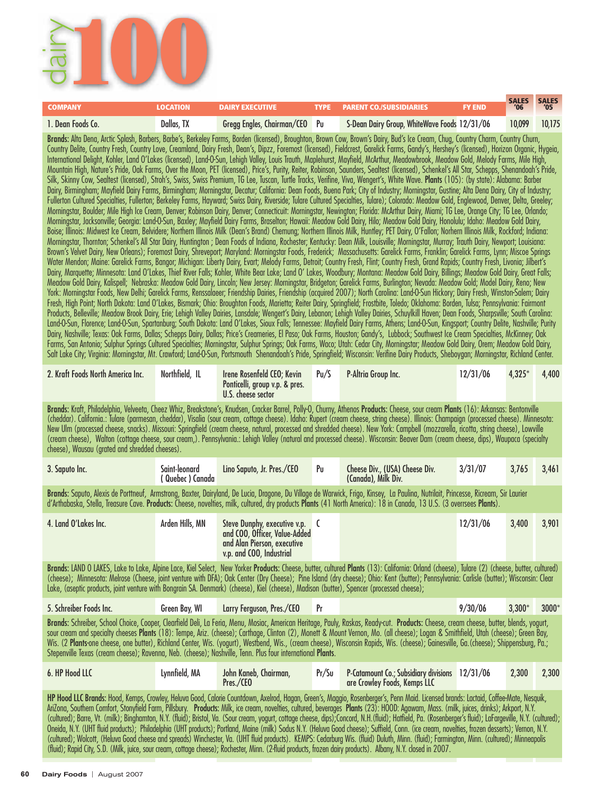

| <b>COMPANY</b>                    | <b>LOCATION</b> | <b>DAIRY EXECUTIVE</b>        | <b>TYPE</b> | <b>PARENT CO./SUBSIDIARIES</b>                                                                                                                                                                                                                                                                                                                                                                                                                                                                                                                                                                                                                                                                                                                                                                                                                                                                                                                                                                                                                                                                                                                                                                                                                                                                                                                                                                                                                                                                                                                                                                                                                                                                                                                                                                                                                                                                                                                                                                                                                                                                                                                                                                                                                                                                                                                                                                                                                                                                                                                                                                                                                                                                                                                                                                                                                                                                                                                                                                                                                                                                                                                                                                                                                                                                                                                                                                                                                                                                                                                                                                                                                                                                                                                                                                                                                                                                                                                                                                                                                                                                                                                                                                                                                                              | <b>FY END</b> | <b>SALES</b><br>'06 | <b>SALES</b><br>'05 |
|-----------------------------------|-----------------|-------------------------------|-------------|-----------------------------------------------------------------------------------------------------------------------------------------------------------------------------------------------------------------------------------------------------------------------------------------------------------------------------------------------------------------------------------------------------------------------------------------------------------------------------------------------------------------------------------------------------------------------------------------------------------------------------------------------------------------------------------------------------------------------------------------------------------------------------------------------------------------------------------------------------------------------------------------------------------------------------------------------------------------------------------------------------------------------------------------------------------------------------------------------------------------------------------------------------------------------------------------------------------------------------------------------------------------------------------------------------------------------------------------------------------------------------------------------------------------------------------------------------------------------------------------------------------------------------------------------------------------------------------------------------------------------------------------------------------------------------------------------------------------------------------------------------------------------------------------------------------------------------------------------------------------------------------------------------------------------------------------------------------------------------------------------------------------------------------------------------------------------------------------------------------------------------------------------------------------------------------------------------------------------------------------------------------------------------------------------------------------------------------------------------------------------------------------------------------------------------------------------------------------------------------------------------------------------------------------------------------------------------------------------------------------------------------------------------------------------------------------------------------------------------------------------------------------------------------------------------------------------------------------------------------------------------------------------------------------------------------------------------------------------------------------------------------------------------------------------------------------------------------------------------------------------------------------------------------------------------------------------------------------------------------------------------------------------------------------------------------------------------------------------------------------------------------------------------------------------------------------------------------------------------------------------------------------------------------------------------------------------------------------------------------------------------------------------------------------------------------------------------------------------------------------------------------------------------------------------------------------------------------------------------------------------------------------------------------------------------------------------------------------------------------------------------------------------------------------------------------------------------------------------------------------------------------------------------------------------------------------------------------------------------------------------------------------------------|---------------|---------------------|---------------------|
| 1. Dean Foods Co.                 | Dallas, TX      | Gregg Engles, Chairman/CEO Pu |             | S-Dean Dairy Group, WhiteWave Foods 12/31/06                                                                                                                                                                                                                                                                                                                                                                                                                                                                                                                                                                                                                                                                                                                                                                                                                                                                                                                                                                                                                                                                                                                                                                                                                                                                                                                                                                                                                                                                                                                                                                                                                                                                                                                                                                                                                                                                                                                                                                                                                                                                                                                                                                                                                                                                                                                                                                                                                                                                                                                                                                                                                                                                                                                                                                                                                                                                                                                                                                                                                                                                                                                                                                                                                                                                                                                                                                                                                                                                                                                                                                                                                                                                                                                                                                                                                                                                                                                                                                                                                                                                                                                                                                                                                                |               | 10,099              | 10,175              |
|                                   |                 |                               |             | Brands: Alta Dena, Arctic Splash, Barbers, Barbe's, Berkeley Farms, Borden (licensed), Broughton, Brown Cow, Brown's Dairy, Bud's Ice Cream, Chug, Country Charm, Country Chum,<br>Country Delite, Country Fresh, Country Love, Creamland, Dairy Fresh, Dean's, Dipzz, Foremost (licensed), Fieldcrest, Garelick Farms, Gandy's, Hershey's (licensed), Horizon Organic, Hygeia,<br>International Delight, Kohler, Land O'Lakes (licensed), Land-O-Sun, Lehigh Valley, Louis Trauth, Maplehurst, Mayfield, McArthur, Meadowbrook, Meadow Gold, Melody Farms, Mile High,<br>Mountain High, Nature's Pride, Oak Farms, Over the Moon, PET (licensed), Price's, Purity, Reiter, Robinson, Saunders, Sealtest (licensed), Schenkel's All Star, Schepps, Shenandoah's Pride,<br>Silk, Skinny Cow, Sealtest (licensed), Stroh's, Swiss, Swiss Premium, TG Lee, Tuscan, Turtle Tracks, Verifine, Viva, Wengert's, White Wave. <b>Plants</b> (105): (by state): Alabama: Barber<br>Dairy, Birmingham; Mayfield Dairy Farms, Birmingham; Morningstar, Decatur; California: Dean Foods, Buena Park; City of Industry; Morningstar, Gustine; Alta Dena Dairy, City of Industry;<br>Fullerton Cultured Specialties, Fullerton; Berkeley Farms, Hayward; Swiss Dairy, Riverside; Tulare Cultured Specialties, Tulare); Colorado: Meadow Gold, Englewood, Denver, Delta, Greeley;<br>Morningstar, Boulder; Mile High Ice Cream, Denver; Robinson Dairy, Denver; Connecticuit: Morningstar, Newington; Florida: McArthur Dairy, Miami; TG Lee, Orange City; TG Lee, Orlando;<br>Morningstar, Jacksonville; Georgia: Land-O-Sun, Baxley; Mayfield Dairy Farms, Braselton; Hawaii: Meadow Gold Dairy, Hilo; Meadow Gold Dairy, Honolulu; Idaho: Meadow Gold Dairy,<br>Boise; Illinois: Midwest Ice Cream, Belvidere; Northern Illinois Milk (Dean's Brand) Chemung; Northern Illinois Milk, Huntley; PET Dairy, O'Fallon; Norhern Illinois Milk, Rockford; Indiana:<br>Morningstar, Thornton; Schenkel's All Star Dairy, Huntington ; Dean Foods of Indiana, Rochester; Kentucky: Dean Milk, Louisville; Morningstar, Murray; Trauth Dairy, Newport; Louisiana:<br>Brown's Velvet Dairy, New Orleans); Foremost Dairy, Shreveport; Maryland: Morningstar Foods, Frederick; Massachusetts: Garelick Farms, Franklin; Garelick Farms, Lynn; Miscoe Springs<br>Water Mendon; Maine: Garelick Farms, Bangor; Michigan: Liberty Dairy, Evart; Melody Farms, Detroit; Country Fresh, Flint; Country Fresh, Grand Rapids; Country Fresh, Livonia; Jilbert's<br>Dairy, Marquette; Minnesota: Land O'Lakes, Thief River Falls; Kohler, White Bear Lake; Land O' Lakes, Woodbury; Montana: Meadow Gold Dairy, Billings; Meadow Gold Dairy, Great Falls;<br>Meadow Gold Dairy, Kalispell; Nebraska: Meadow Gold Dairy, Lincoln; New Jersey: Morningstar, Bridgeton; Garelick Farms, Burlington; Nevada: Meadow Gold; Model Dairy, Reno; New<br>York: Morningstar Foods, New Delhi; Garelick Farms, Renssalaeer; Friendship Dairies, Friendship (acquired 2007); North Carolina: Land-O-Sun Hickory; Dairy Fresh, Winston-Salem; Dairy<br>Fresh, High Point; North Dakota: Land O'Lakes, Bismark; Ohio: Broughton Foods, Marietta; Reiter Dairy, Springfield; Frostbite, Toledo; Oklahoma: Borden, Tulsa; Pennsylvania: Fairmont<br>Products, Belleville; Meadow Brook Dairy, Erie; Lehigh Valley Dairies, Lansdale; Wengert's Dairy, Lebanon; Lehigh Valley Dairies, Schuylkill Haven; Dean Foods, Sharpsville; South Carolina:<br>Land-O-Sun, Florence; Land-O-Sun, Spartanburg; South Dakota: Land O'Lakes, Sioux Falls; Tennessee: Mayfield Dairy Farms, Athens; Land-O-Sun, Kingsport; Country Delite, Nashville; Purity<br>Dairy, Nashville; Texas: Oak Farms, Dallas; Schepps Dairy, Dallas; Price's Creameries, El Paso; Oak Farms, Houston; Gandy's, Lubbock; Southwest Ice Cream Specialties, McKinney; Oak<br>Farms, San Antonio; Sulphur Springs Cultured Specialties; Morningstar, Sulphur Springs; Oak Farms, Waco; Utah: Cedar City, Morningstar; Meadow Gold Dairy, Orem; Meadow Gold Dairy,<br>Salt Lake City; Virginia: Morningstar, Mt. Crawford; Land-O-Sun, Portsmouth Shenandoah's Pride, Springfield; Wisconsin: Verifine Dairy Products, Sheboygan; Morningstar, Richland Center. |               |                     |                     |
| 2. Kraft Foods North America Inc. | Northfield, IL  | Irene Rosenfeld CEO; Kevin    | Pu/S        | P-Altria Group Inc.                                                                                                                                                                                                                                                                                                                                                                                                                                                                                                                                                                                                                                                                                                                                                                                                                                                                                                                                                                                                                                                                                                                                                                                                                                                                                                                                                                                                                                                                                                                                                                                                                                                                                                                                                                                                                                                                                                                                                                                                                                                                                                                                                                                                                                                                                                                                                                                                                                                                                                                                                                                                                                                                                                                                                                                                                                                                                                                                                                                                                                                                                                                                                                                                                                                                                                                                                                                                                                                                                                                                                                                                                                                                                                                                                                                                                                                                                                                                                                                                                                                                                                                                                                                                                                                         | 12/31/06      | $4,325*$            | 4,400               |

Brands: Kraft, Philadelphia, Velveeta, Cheez Whiz, Breakstone's, Knudsen, Cracker Barrel, Polly-O, Churny, Athenos Products: Cheese, sour cream Plants (16): Arkansas: Bentonville (cheddar). California.: Tulare (parmesan, cheddar), Visalia (sour cream, cottage cheese). Idaho: Rupert (cream cheese, string cheese). Illinois: Champaign (processed cheese). Minnesota: New Ulm (processed cheese, snacks). Missouri: Springfield (cream cheese, natural, processed and shredded cheese). New York: Campbell (mozzarella, ricotta, string cheese), Lowville (cream cheese), Walton (cottage cheese, sour cream,). Pennsylvania.: Lehigh Valley (natural and processed cheese). Wisconsin: Beaver Dam (cream cheese, dips), Waupaca (specialty cheese), Wausau (grated and shredded cheeses).

 Ponticelli, group v.p. & pres. U.S. cheese sector

| 3. Saputo Inc.                                                                                                                                                                                                                                                                                                                                                                                                                                                                                                                      | Saint-leonard<br>( Quebec ) Canada | Lino Saputo, Jr. Pres./CEO                                                                                               | Pu | Cheese Div., (USA) Cheese Div.<br>(Canada), Milk Div. | 3/31/07  | 3.765 | 3,461 |
|-------------------------------------------------------------------------------------------------------------------------------------------------------------------------------------------------------------------------------------------------------------------------------------------------------------------------------------------------------------------------------------------------------------------------------------------------------------------------------------------------------------------------------------|------------------------------------|--------------------------------------------------------------------------------------------------------------------------|----|-------------------------------------------------------|----------|-------|-------|
| Brands: Saputo, Alexis de Porttneuf, Armstrong, Baxter, Dairyland, De Lucia, Dragone, Du Village de Warwick, Frigo, Kinsey, La Paulina, Nutrilait, Princesse, Ricream, Sir Laurier<br>d'Arthabaska, Stella, Treasure Cave. Products: Cheese, novelties, milk, cultured, dry products Plants (41 North America): 18 in Canada, 13 U.S. (3 overrsees Plants).                                                                                                                                                                         |                                    |                                                                                                                          |    |                                                       |          |       |       |
| 4. Land O'Lakes Inc.                                                                                                                                                                                                                                                                                                                                                                                                                                                                                                                | Arden Hills, MN                    | Steve Dunphy, executive v.p.<br>and COO, Officer, Value-Added<br>and Alan Pierson, executive<br>v.p. and COO, Industrial |    |                                                       | 12/31/06 | 3.400 | 3,901 |
| Brands: LAND O LAKES, Lake to Lake, Alpine Lace, Kiel Select, New Yorker Products: Cheese, butter, cultured Plants (13): California: Orland (cheese), Tulare (2) (cheese, butter, cultured)<br>(cheese); Minnesota: Melrose (Cheese, joint venture with DFA); Oak Center (Dry Cheese); Pine Island (dry cheese); Ohio: Kent (butter); Pennsylvania: Carlisle (butter); Wisconsin: Clear<br>Lake, (aseptic products, joint venture with Bongrain SA. Denmark) (cheese), Kiel (cheese), Madison (butter), Spencer (processed cheese); |                                    |                                                                                                                          |    |                                                       |          |       |       |

| 5. Schreiber Foods Inc.                                                                                                                                                                                                                                                                                                                                                                                                                                                                                                                                                                                                                                                              | Green Bay, WI | <b>Larry Ferguson, Pres./CEO</b> | Pr |  | 9/30/06 | $3.300*$ | $3000*$ |  |  |
|--------------------------------------------------------------------------------------------------------------------------------------------------------------------------------------------------------------------------------------------------------------------------------------------------------------------------------------------------------------------------------------------------------------------------------------------------------------------------------------------------------------------------------------------------------------------------------------------------------------------------------------------------------------------------------------|---------------|----------------------------------|----|--|---------|----------|---------|--|--|
| Brands: Schreiber, School Choice, Cooper, Clearfield Deli, La Feria, Menu, Mosiac, American Heritage, Pauly, Raskas, Ready-cut. Products: Cheese, cream cheese, butter, blends, yogurt,<br>sour cream and specialty cheeses Plants (18): Tempe, Ariz. (cheese); Carthage, Clinton (2), Monett & Mount Vernon, Mo. (all cheese); Logan & Smithfield, Utah (cheese); Green Bay,<br>Wis. (2 Plants-one cheese, one butter), Richland Center, Wis. (yogurt), Westbend, Wis., (cream cheese), Wisconsin Rapids, Wis. (cheese); Gainesville, Ga.(cheese); Shippensburg, Pa.;<br>Stepenville Texas (cream cheese); Ravenna, Neb. (cheese); Nashville, Tenn. Plus four international Plants. |               |                                  |    |  |         |          |         |  |  |

| 6. HP Hood LLC | Lynnfield, MA | John Kaneb, Chairman,<br>Pres./CEO | Pr/Su | P-Catamount Co.; Subsidiary divisions 12/31/06<br>are Crowley Foods, Kemps LLC |  | 2.300 | 2.300 |
|----------------|---------------|------------------------------------|-------|--------------------------------------------------------------------------------|--|-------|-------|
|----------------|---------------|------------------------------------|-------|--------------------------------------------------------------------------------|--|-------|-------|

HP Hood LLC Brands: Hood, Kemps, Crowley, Heluva Good, Calorie Countdown, Axelrod, Hagan, Green's, Maggio, Rosenberger's, Penn Maid. Licensed brands: Lactaid, Coffee-Mate, Nesquik, AriZona, Southern Comfort, Stonyfield Farm, Pillsbury. Products: Milk, ice cream, novelties, cultured, beverages Plants (23): HOOD: Agawam, Mass. (milk, juices, drinks); Arkport, N.Y. (cultured); Barre, Vt. (milk); Binghamton, N.Y. (fluid); Bristol, Va. (Sour cream, yogurt, cottage cheese, dips);Concord, N.H.(fluid); Hatfield, Pa. (Rosenberger's fluid); LaFargeville, N.Y. (cultured); Oneida, N.Y. (UHT fluid products); Philadelphia (UHT products); Portland, Maine (milk) Sodus N.Y. (Heluva Good cheese); Suffield, Conn. (ice cream, novelties, frozen desserts); Vernon, N.Y. (cultured); Wolcott, (Heluva Good cheese and spreads) Winchester, Va. (UHT fluid products). KEMPS: Cedarburg Wis. (fluid) Duluth, Minn. (fluid); Farmington, Minn. (cultured); Minneapolis (fluid); Rapid City, S.D. (Milk, juice, sour cream, cottage cheese); Rochester, Minn. (2-fluid products, frozen dairy products). Albany, N.Y. closed in 2007.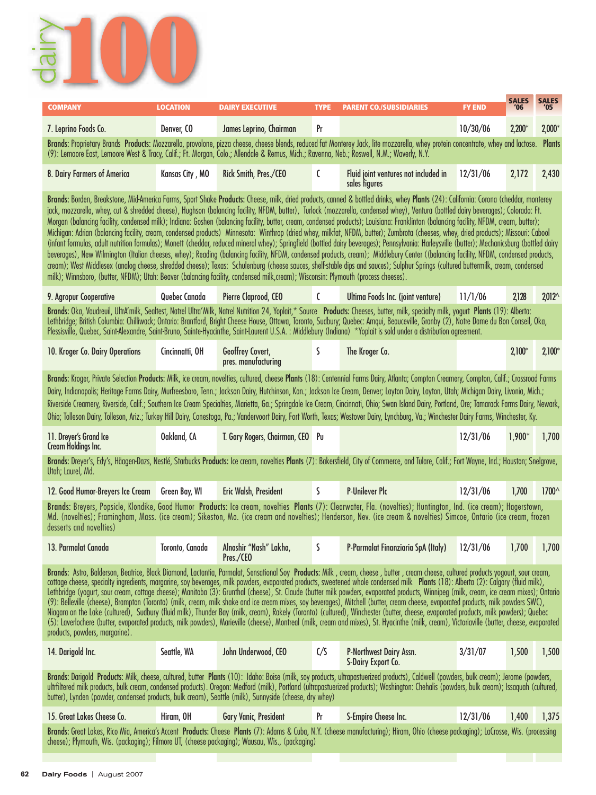

| <b>COMPANY</b>                                                                                                                                                                                                                                                                                                                                                                                                                                                                                                                                                                                                                                                                                                                                                                                                                                                                                                                                                                                                                                                                                                                                                                                                                                                                                                                                                                                                                                                                   | <b>LOCATION</b> | <b>DAIRY EXECUTIVE</b>                  | <b>TYPE</b>   | <b>PARENT CO./SUBSIDIARIES</b>                                                                                                                                                                                                                                                                                                                                                                                                                                                                                                                    | <b>FY END</b> | <b>SALES</b><br>'06 | <b>SALES</b><br>'05 |  |
|----------------------------------------------------------------------------------------------------------------------------------------------------------------------------------------------------------------------------------------------------------------------------------------------------------------------------------------------------------------------------------------------------------------------------------------------------------------------------------------------------------------------------------------------------------------------------------------------------------------------------------------------------------------------------------------------------------------------------------------------------------------------------------------------------------------------------------------------------------------------------------------------------------------------------------------------------------------------------------------------------------------------------------------------------------------------------------------------------------------------------------------------------------------------------------------------------------------------------------------------------------------------------------------------------------------------------------------------------------------------------------------------------------------------------------------------------------------------------------|-----------------|-----------------------------------------|---------------|---------------------------------------------------------------------------------------------------------------------------------------------------------------------------------------------------------------------------------------------------------------------------------------------------------------------------------------------------------------------------------------------------------------------------------------------------------------------------------------------------------------------------------------------------|---------------|---------------------|---------------------|--|
| 7. Leprino Foods Co.                                                                                                                                                                                                                                                                                                                                                                                                                                                                                                                                                                                                                                                                                                                                                                                                                                                                                                                                                                                                                                                                                                                                                                                                                                                                                                                                                                                                                                                             | Denver. CO      | James Leprino, Chairman                 | Pr            |                                                                                                                                                                                                                                                                                                                                                                                                                                                                                                                                                   | 10/30/06      | $2,200*$            | $2,000*$            |  |
| (9): Lemoore East, Lemoore West & Tracy, Calif.; Ft. Morgan, Colo.; Allendale & Remus, Mich.; Ravenna, Neb.; Roswell, N.M.; Waverly, N.Y.                                                                                                                                                                                                                                                                                                                                                                                                                                                                                                                                                                                                                                                                                                                                                                                                                                                                                                                                                                                                                                                                                                                                                                                                                                                                                                                                        |                 |                                         |               | Brands: Proprietary Brands Products: Mozzarella, provolone, pizza cheese, cheese blends, reduced fat Monterey Jack, lite mozzarella, whey protein concentrate, whey and lactose.                                                                                                                                                                                                                                                                                                                                                                  |               |                     | <b>Plants</b>       |  |
| 8. Dairy Farmers of America                                                                                                                                                                                                                                                                                                                                                                                                                                                                                                                                                                                                                                                                                                                                                                                                                                                                                                                                                                                                                                                                                                                                                                                                                                                                                                                                                                                                                                                      | Kansas City, MO | Rick Smith, Pres./CEO                   | C             | Fluid joint ventures not included in<br>sales figures                                                                                                                                                                                                                                                                                                                                                                                                                                                                                             | 12/31/06      | 2,172               | 2,430               |  |
| Brands: Borden, Breakstone, Mid-America Farms, Sport Shake Products: Cheese, milk, dried products, canned & bottled drinks, whey Plants (24): California: Corona (cheddar, monterey<br>jack, mozzarella, whey, cut & shredded cheese), Hughson (balancing facility, NFDM, butter), Turlock (mozzarella, condensed whey), Ventura (bottled dairy beverages); Colorado: Ft.<br>Morgan (balancing facility, condensed milk); Indiana: Goshen (balancing facility, butter, cream, condensed products); Louisiana: Franklinton (balancing facility, NFDM, cream, butter);<br>Michigan: Adrian (balancing facility, cream, condensed products) Minnesota: Winthrop (dried whey, milkfat, NFDM, butter); Zumbrota (cheeses, whey, dried products); Missouri: Cabool<br>(infant formulas, adult nutrition formulas); Monett (cheddar, reduced mineral whey); Springfield (bottled dairy beverages); Pennsylvania: Harleysville (butter); Mechanicsburg (bottled dairy<br>beverages), New Wilmington (Italian cheeses, whey); Reading (balancing facility, NFDM, condensed products, cream); Middlebury Center ((balancing facility, NFDM, condensed products,<br>cream); West Middlesex (analog cheese, shredded cheese); Texas: Schulenburg (cheese sauces, shelf-stable dips and sauces); Sulphur Springs (cultured buttermilk, cream, condensed<br>milk); Winnsboro, (butter, NFDM); Utah: Beaver (balancing facility, condensed milk, cream); Wisconsin: Plymouth (process cheeses). |                 |                                         |               |                                                                                                                                                                                                                                                                                                                                                                                                                                                                                                                                                   |               |                     |                     |  |
| 9. Agropur Cooperative                                                                                                                                                                                                                                                                                                                                                                                                                                                                                                                                                                                                                                                                                                                                                                                                                                                                                                                                                                                                                                                                                                                                                                                                                                                                                                                                                                                                                                                           | Quebec Canada   | Pierre Claprood, CEO                    | C             | Ultima Foods Inc. (joint venture)                                                                                                                                                                                                                                                                                                                                                                                                                                                                                                                 | 11/1/06       | 2,128               | $2,012^{\wedge}$    |  |
|                                                                                                                                                                                                                                                                                                                                                                                                                                                                                                                                                                                                                                                                                                                                                                                                                                                                                                                                                                                                                                                                                                                                                                                                                                                                                                                                                                                                                                                                                  |                 |                                         |               | Brands: Oka, Vaudreuil, UltrA'milk, Sealtest, Natrel Ultra'Milk, Natrel Nutrition 24, Yoplait,* Source Products: Cheeses, butter, milk, specialty milk, yogurt Plants (19): Alberta:<br>Lethbridge; British Columbia: Chilliwack; Ontario: Brantford, Bright Cheese House, Ottawa, Toronto, Sudbury; Quebec: Amqui, Beauceville, Granby (2), Notre Dame du Bon Conseil, Oka,<br>Plessisville, Quebec, Saint-Alexandre, Saint-Bruno, Sainte-Hyacinthe, Saint-Laurent U.S.A.: Middlebury (Indiana) *Yoplait is sold under a distribution agreement. |               |                     |                     |  |
| 10. Kroger Co. Dairy Operations                                                                                                                                                                                                                                                                                                                                                                                                                                                                                                                                                                                                                                                                                                                                                                                                                                                                                                                                                                                                                                                                                                                                                                                                                                                                                                                                                                                                                                                  | Cincinnatti, OH | Geoffrey Covert,<br>pres. manufacturing | S             | The Kroger Co.                                                                                                                                                                                                                                                                                                                                                                                                                                                                                                                                    |               | $2,100*$            | $2,100*$            |  |
| Brands: Kroger, Private Selection Products: Milk, ice cream, novelties, cultured, cheese Plants (18): Centennial Farms Dairy, Atlanta; Compton Creamery, Compton, Calif.; Crossroad Farms<br>Dairy, Indianapolis; Heritage Farms Dairy, Murfreesboro, Tenn.; Jackson Dairy, Hutchinson, Kan.; Jackson Ice Cream, Denver; Layton Dairy, Layton, Utah; Michigan Dairy, Livonia, Mich.;<br>Riverside Creamery, Riverside, Calif.; Southern Ice Cream Specialties, Marietta, Ga.; Springdale Ice Cream, Cincinnati, Ohio; Swan Island Dairy, Portland, Ore; Tamarack Farms Dairy, Newark,<br>Ohio; Tolleson Dairy, Tolleson, Ariz.; Turkey Hill Dairy, Conestoga, Pa.; Vandervoort Dairy, Fort Worth, Texas; Westover Dairy, Lynchburg, Va.; Winchester Dairy Farms, Winchester, Ky.                                                                                                                                                                                                                                                                                                                                                                                                                                                                                                                                                                                                                                                                                                 |                 |                                         |               |                                                                                                                                                                                                                                                                                                                                                                                                                                                                                                                                                   |               |                     |                     |  |
| 11. Dreyer's Grand Ice<br><b>Cream Holdings Inc.</b>                                                                                                                                                                                                                                                                                                                                                                                                                                                                                                                                                                                                                                                                                                                                                                                                                                                                                                                                                                                                                                                                                                                                                                                                                                                                                                                                                                                                                             | Oakland, CA     | T. Gary Rogers, Chairman, CEO Pu        |               |                                                                                                                                                                                                                                                                                                                                                                                                                                                                                                                                                   | 12/31/06      | $1,900*$            | 1,700               |  |
| Utah; Laurel, Md.                                                                                                                                                                                                                                                                                                                                                                                                                                                                                                                                                                                                                                                                                                                                                                                                                                                                                                                                                                                                                                                                                                                                                                                                                                                                                                                                                                                                                                                                |                 |                                         |               | Brands: Dreyer's, Edy's, Häagen-Dazs, Nestlé, Starbucks Products: Ice cream, novelties Plants (7): Bakersfield, City of Commerce, and Tulare, Calif.; Fort Wayne, Ind.; Houston; Snelgrove,                                                                                                                                                                                                                                                                                                                                                       |               |                     |                     |  |
| 12. Good Humor-Breyers Ice Cream                                                                                                                                                                                                                                                                                                                                                                                                                                                                                                                                                                                                                                                                                                                                                                                                                                                                                                                                                                                                                                                                                                                                                                                                                                                                                                                                                                                                                                                 | Green Bay, WI   | Eric Walsh, President                   | $\mathsf{S}$  | <b>P-Unilever Plc</b>                                                                                                                                                                                                                                                                                                                                                                                                                                                                                                                             | 12/31/06      | 1,700               | 1700^               |  |
| desserts and novelties)                                                                                                                                                                                                                                                                                                                                                                                                                                                                                                                                                                                                                                                                                                                                                                                                                                                                                                                                                                                                                                                                                                                                                                                                                                                                                                                                                                                                                                                          |                 |                                         |               | Brands: Breyers, Popsicle, Klondike, Good Humor Products: Ice cream, novelties Plants (7): Clearwater, Fla. (novelties); Huntington, Ind. (ice cream); Hagerstown,<br>Md. (novelties); Framingham, Mass. (ice cream); Sikeston, Mo. (ice cream and novelties); Henderson, Nev. (ice cream & novelties) Simcoe, Ontario (ice cream, frozen                                                                                                                                                                                                         |               |                     |                     |  |
| 13. Parmalat Canada                                                                                                                                                                                                                                                                                                                                                                                                                                                                                                                                                                                                                                                                                                                                                                                                                                                                                                                                                                                                                                                                                                                                                                                                                                                                                                                                                                                                                                                              | Toronto, Canada | Alnashir "Nash" Lakha,<br>Pres./CEO     | S             | P-Parmalat Finanziaria SpA (Italy)                                                                                                                                                                                                                                                                                                                                                                                                                                                                                                                | 12/31/06      | 1,700               | 1,700               |  |
| Brands: Astro, Balderson, Beatrice, Black Diamond, Lactantia, Parmalat, Sensational Soy Products: Milk , cream, cheese , butter , cream cheese, cultured products yogourt, sour cream,<br>cottage cheese, specialty ingredients, margarine, soy beverages, milk powders, evaporated products, sweetened whole condensed milk Plants (18): Alberta (2): Calgary (fluid milk),<br>Lethbridge (yogurt, sour cream, cottage cheese); Manitoba (3): Grunthal (cheese), St. Claude (butter milk powders, evaporated products, Winnipeg (milk, cream, ice cream mixes); Ontario<br>(9): Belleville (cheese), Brampton (Toronto) (milk, cream, milk shake and ice cream mixes, soy beverages), Mitchell (butter, cream cheese, evaporated products, milk powders SWC),<br>Niagara on the Lake (cultured), Sudbury (fluid milk), Thunder Bay (milk, cream), Rakely (Toronto) (cultured), Winchester (butter, cheese, evaporated products, milk powders); Quebec<br>(5): Laverlochere (butter, evaporated products, milk powders), Marieville (cheese), Montreal (milk, cream and mixes), St. Hyacinthe (milk, cream), Victoriaville (butter, cheese, evaporated<br>products, powders, margarine).                                                                                                                                                                                                                                                                                         |                 |                                         |               |                                                                                                                                                                                                                                                                                                                                                                                                                                                                                                                                                   |               |                     |                     |  |
| 14. Darigold Inc.                                                                                                                                                                                                                                                                                                                                                                                                                                                                                                                                                                                                                                                                                                                                                                                                                                                                                                                                                                                                                                                                                                                                                                                                                                                                                                                                                                                                                                                                | Seattle, WA     | John Underwood, CEO                     | $\zeta/\zeta$ | P-Northwest Dairy Assn.<br>S-Dairy Export Co.                                                                                                                                                                                                                                                                                                                                                                                                                                                                                                     | 3/31/07       | 1,500               | 1,500               |  |
| butter), Lynden (powder, condensed products, bulk cream), Seattle (milk), Sunnyside (cheese, dry whey)                                                                                                                                                                                                                                                                                                                                                                                                                                                                                                                                                                                                                                                                                                                                                                                                                                                                                                                                                                                                                                                                                                                                                                                                                                                                                                                                                                           |                 |                                         |               | Brands: Darigold Products: Milk, cheese, cultured, butter Plants (10): Idaho: Boise (milk, soy products, ultrapastuerized products), Caldwell (powders, bulk cream); Jerome (powders,<br>ultrfiltered milk products, bulk cream, condensed products). Oregon: Medford (milk), Portland (ultrapastuerized products); Washington: Chehalis (powders, bulk cream); Issaquah (cultured,                                                                                                                                                               |               |                     |                     |  |
| 15. Great Lakes Cheese Co.                                                                                                                                                                                                                                                                                                                                                                                                                                                                                                                                                                                                                                                                                                                                                                                                                                                                                                                                                                                                                                                                                                                                                                                                                                                                                                                                                                                                                                                       | Hiram, OH       | Gary Vanic, President                   | Pr            | S-Empire Cheese Inc.                                                                                                                                                                                                                                                                                                                                                                                                                                                                                                                              | 12/31/06      | 1,400               | 1,375               |  |
| cheese); Plymouth, Wis. (packaging); Filmore UT, (cheese packaging); Wausau, Wis., (packaging)                                                                                                                                                                                                                                                                                                                                                                                                                                                                                                                                                                                                                                                                                                                                                                                                                                                                                                                                                                                                                                                                                                                                                                                                                                                                                                                                                                                   |                 |                                         |               | Brands: Great Lakes, Rico Mia, America's Accent Products: Cheese Plants (7): Adams & Cuba, N.Y. (cheese manufacturing); Hiram, Ohio (cheese packaging); LaCrosse, Wis. (processing                                                                                                                                                                                                                                                                                                                                                                |               |                     |                     |  |
|                                                                                                                                                                                                                                                                                                                                                                                                                                                                                                                                                                                                                                                                                                                                                                                                                                                                                                                                                                                                                                                                                                                                                                                                                                                                                                                                                                                                                                                                                  |                 |                                         |               |                                                                                                                                                                                                                                                                                                                                                                                                                                                                                                                                                   |               |                     |                     |  |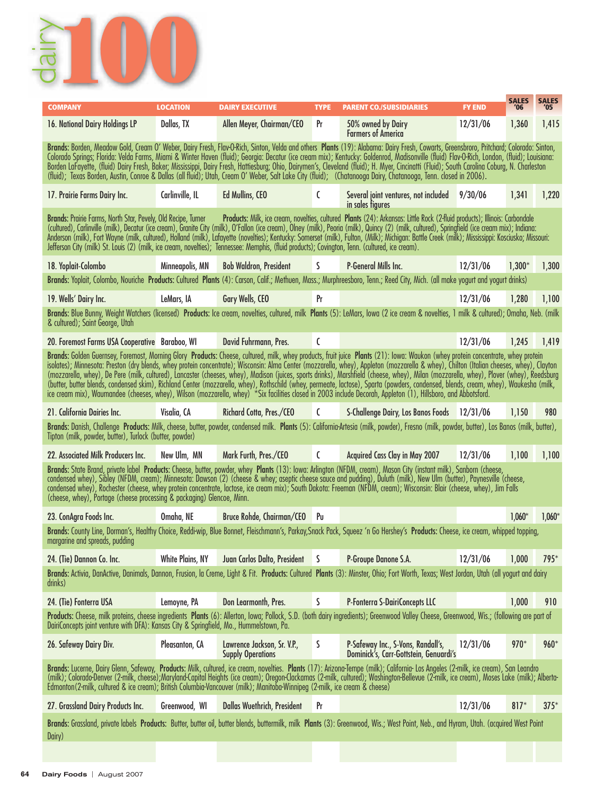

| <b>COMPANY</b>                                                                                                                                                                                                                                                                                                                                                                                                                                                                                                                                                                                                                                                                                                                                                                                                                                                                                                                 | <b>LOCATION</b>  | <b>DAIRY EXECUTIVE</b>                                  | <b>TYPE</b>  | <b>PARENT CO./SUBSIDIARIES</b>                                                                                                                                                                                                                                                                                                                                                                                                                                                                                                                                                                                                                                                                                                                        | <b>FY END</b> | <b>SALES</b><br>'06 | <b>SALES</b><br>'05 |
|--------------------------------------------------------------------------------------------------------------------------------------------------------------------------------------------------------------------------------------------------------------------------------------------------------------------------------------------------------------------------------------------------------------------------------------------------------------------------------------------------------------------------------------------------------------------------------------------------------------------------------------------------------------------------------------------------------------------------------------------------------------------------------------------------------------------------------------------------------------------------------------------------------------------------------|------------------|---------------------------------------------------------|--------------|-------------------------------------------------------------------------------------------------------------------------------------------------------------------------------------------------------------------------------------------------------------------------------------------------------------------------------------------------------------------------------------------------------------------------------------------------------------------------------------------------------------------------------------------------------------------------------------------------------------------------------------------------------------------------------------------------------------------------------------------------------|---------------|---------------------|---------------------|
| 16. National Dairy Holdings LP                                                                                                                                                                                                                                                                                                                                                                                                                                                                                                                                                                                                                                                                                                                                                                                                                                                                                                 | Dallas, TX       | Allen Meyer, Chairman/CEO                               | Pr           | 50% owned by Dairy<br><b>Farmers of America</b>                                                                                                                                                                                                                                                                                                                                                                                                                                                                                                                                                                                                                                                                                                       | 12/31/06      | 1,360               | 1,415               |
|                                                                                                                                                                                                                                                                                                                                                                                                                                                                                                                                                                                                                                                                                                                                                                                                                                                                                                                                |                  |                                                         |              | Brands: Borden, Meadow Gold, Cream O' Weber, Dairy Fresh, Flav-O-Rich, Sinton, Velda and others Plants (19): Alabama: Dairy Fresh, Cowarts, Greensbroro, Pritchard; Colorado: Sinton,<br>Colorado Springs; Florida: Velda Farms, Miami & Winter Haven (fluid); Georgia: Decatur (ice cream mix); Kentucky: Goldenrod, Madisonville (fluid) Flav-O-Rich, London, (fluid); Louisiana:<br>Borden LaFayerte, (fluid) Dairy Fresh, Baker, Mississippi, Dairy Fresh, Hattiesburg, Ohio, Dairymen's, Cleveland (fluid); H. Myer, Cincinatti (Fluid); South Carolina Coburg, N. Charleston<br>(fluid); Texas Borden, Austin, Conroe & Dallas (all fluid); Utah, Cream O' Weber, Salt Lake City (fluid); (Chatanooga Dairy, Chatanooga, Tenn. closed in 2006). |               |                     |                     |
| 17. Prairie Farms Dairy Inc.                                                                                                                                                                                                                                                                                                                                                                                                                                                                                                                                                                                                                                                                                                                                                                                                                                                                                                   | Carlinville, IL  | Ed Mullins, CEO                                         | C            | Several joint ventures, not included 9/30/06<br>in sales figures                                                                                                                                                                                                                                                                                                                                                                                                                                                                                                                                                                                                                                                                                      |               | 1,341               | 1,220               |
| Brands: Prairie Farms, North Star, Pevely, Old Recipe, Turner<br>Jefferson City (milk) St. Louis (2) (milk, ice cream, novelties); Tennessee: Memphis, (fluid products); Covington, Tenn. (cultured, ice cream).                                                                                                                                                                                                                                                                                                                                                                                                                                                                                                                                                                                                                                                                                                               |                  |                                                         |              | Products: Milk, ice cream, novelties, cultured Plants (24): Arkansas: Little Rock (2-fluid products); Illinois: Carbondale<br>(cultured), Carlinville (milk), Decatur (ice cream), Granite City (milk), O'Fallon (ice cream), Olney (milk), Peoria (milk), Quincy (2) (milk, cultured), Springfield (ice cream mix); Indiana:<br>Anderson (milk), Fort Wayne (milk, cultured), Holland (milk), Lafayette (novelties); Kentucky: Somerset (milk), Fulton, (Milk); Michigan: Battle Creek (milk); Mississippi: Kosciusko; Missouri:                                                                                                                                                                                                                     |               |                     |                     |
| 18. Yoplait-Colombo                                                                                                                                                                                                                                                                                                                                                                                                                                                                                                                                                                                                                                                                                                                                                                                                                                                                                                            | Minneapolis, MN  | <b>Bob Waldron, President</b>                           | S.           | <b>P-General Mills Inc.</b>                                                                                                                                                                                                                                                                                                                                                                                                                                                                                                                                                                                                                                                                                                                           | 12/31/06      | $1,300*$            | 1,300               |
|                                                                                                                                                                                                                                                                                                                                                                                                                                                                                                                                                                                                                                                                                                                                                                                                                                                                                                                                |                  |                                                         |              | Brands: Yoplait, Colombo, Nouriche Products: Cultured Plants (4): Carson, Calif.; Methuen, Mass.; Murphreesboro, Tenn.; Reed City, Mich. (all make yogurt and yogurt drinks)                                                                                                                                                                                                                                                                                                                                                                                                                                                                                                                                                                          |               |                     |                     |
| 19. Wells' Dairy Inc.                                                                                                                                                                                                                                                                                                                                                                                                                                                                                                                                                                                                                                                                                                                                                                                                                                                                                                          | LeMars, IA       | Gary Wells, CEO                                         | Pr           |                                                                                                                                                                                                                                                                                                                                                                                                                                                                                                                                                                                                                                                                                                                                                       | 12/31/06      | 1,280               | 1,100               |
| & cultured); Saint George, Utah                                                                                                                                                                                                                                                                                                                                                                                                                                                                                                                                                                                                                                                                                                                                                                                                                                                                                                |                  |                                                         |              | Brands: Blue Bunny, Weight Watchers (licensed) Products: Ice cream, novelties, cultured, milk Plants (5): LeMars, Iowa (2 ice cream & novelties, 1 milk & cultured); Omaha, Neb. (milk                                                                                                                                                                                                                                                                                                                                                                                                                                                                                                                                                                |               |                     |                     |
| 20. Foremost Farms USA Cooperative Baraboo, WI                                                                                                                                                                                                                                                                                                                                                                                                                                                                                                                                                                                                                                                                                                                                                                                                                                                                                 |                  | David Fuhrmann, Pres.                                   | C            |                                                                                                                                                                                                                                                                                                                                                                                                                                                                                                                                                                                                                                                                                                                                                       | 12/31/06      | 1,245               | 1,419               |
| Brands: Golden Guernsey, Foremost, Morning Glory Products: Cheese, cultured, milk, whey products, fruit juice Plants (21): Iowa: Waukon (whey protein concentrate, whey protein<br>isolates); Minnesota: Preston (dry blends, whey protein concentrate); Wisconsin: Alma Center (mozzarella, whey), Appleton (mozzarella & whey), Chilton (Italian cheeses, whey), Clayton<br>(mozzarella, whey), De Pere (milk, cultured), Lancaster (cheeses, whey), Madison (juices, sports drinks), Marshfield (cheese, whey), Milan (mozzarella, whey), Plover (whey), Reedsburg<br>(butter, butter blends, condensed skim), Richland Center (mozzarella, whey), Rothschild (whey, permeate, lactose), Sparta (powders, condensed, blends, cream, whey), Waukesha (milk,<br>ice cream mix), Waumandee (cheeses, whey), Wilson (mozzarella, whey) *Six facilities closed in 2003 include Decorah, Appleton (1), Hillsboro, and Abbotsford. |                  |                                                         |              |                                                                                                                                                                                                                                                                                                                                                                                                                                                                                                                                                                                                                                                                                                                                                       |               |                     |                     |
| 21. California Dairies Inc.                                                                                                                                                                                                                                                                                                                                                                                                                                                                                                                                                                                                                                                                                                                                                                                                                                                                                                    | Visalia, CA      | Richard Cotta, Pres./CEO C                              |              | S-Challenge Dairy, Los Banos Foods 12/31/06                                                                                                                                                                                                                                                                                                                                                                                                                                                                                                                                                                                                                                                                                                           |               | 1,150               | 980                 |
| Brands: Danish, Challenge Products: Milk, cheese, butter, powder, condensed milk. Plants (5): California-Artesia (milk, powder), Fresno (milk, powder, butter), Los Banos (milk, butter),<br>Tipton (milk, powder, butter), Turlock (butter, powder)                                                                                                                                                                                                                                                                                                                                                                                                                                                                                                                                                                                                                                                                           |                  |                                                         |              |                                                                                                                                                                                                                                                                                                                                                                                                                                                                                                                                                                                                                                                                                                                                                       |               |                     |                     |
| 22. Associated Milk Producers Inc.                                                                                                                                                                                                                                                                                                                                                                                                                                                                                                                                                                                                                                                                                                                                                                                                                                                                                             | New Ulm, MN      | Mark Furth, Pres./CEO                                   | $\mathsf{C}$ | Acquired Cass Clay in May 2007                                                                                                                                                                                                                                                                                                                                                                                                                                                                                                                                                                                                                                                                                                                        | 12/31/06      | 1,100               | 1,100               |
| (cheese, whey), Portage (cheese processing & packaging) Glencoe, Minn.                                                                                                                                                                                                                                                                                                                                                                                                                                                                                                                                                                                                                                                                                                                                                                                                                                                         |                  |                                                         |              | Brands: State Brand, private label Products: Cheese, butter, powder, whey Plants (13): lowa: Arlington (NFDM, cream), Mason City (instant milk), Sanborn (cheese,<br>condensed whey), Sibley (NFDM, cream); Minnesota: Dawson (2) (cheese & whey; aseptic cheese sauce and pudding), Duluth (milk), New Ulm (butter), Paynesville (cheese,<br>condensed whey), Rochester (cheese, whey protein concentrate, lactose, ice cream mix); South Dakota: Freeman (NFDM, cream); Wisconsin: Blair (cheese, whey), Jim Falls                                                                                                                                                                                                                                  |               |                     |                     |
| 23. ConAgra Foods Inc.                                                                                                                                                                                                                                                                                                                                                                                                                                                                                                                                                                                                                                                                                                                                                                                                                                                                                                         | Omaha, NE        | Bruce Rohde, Chairman/CEO Pu                            |              |                                                                                                                                                                                                                                                                                                                                                                                                                                                                                                                                                                                                                                                                                                                                                       |               | $1.060*$            | $1,060*$            |
| margarine and spreads, pudding                                                                                                                                                                                                                                                                                                                                                                                                                                                                                                                                                                                                                                                                                                                                                                                                                                                                                                 |                  |                                                         |              | Brands: County Line, Dorman's, Healthy Choice, Reddi-wip, Blue Bonnet, Fleischmann's, Parkay, Snack Pack, Squeez 'n Go Hershey's Products: Cheese, ice cream, whipped topping,                                                                                                                                                                                                                                                                                                                                                                                                                                                                                                                                                                        |               |                     |                     |
| 24. (Tie) Dannon Co. Inc.                                                                                                                                                                                                                                                                                                                                                                                                                                                                                                                                                                                                                                                                                                                                                                                                                                                                                                      | White Plains, NY | Juan Carlos Dalto, President                            | <b>S</b>     | P-Groupe Danone S.A.                                                                                                                                                                                                                                                                                                                                                                                                                                                                                                                                                                                                                                                                                                                                  | 12/31/06      | 1,000               | $795*$              |
| drinks)                                                                                                                                                                                                                                                                                                                                                                                                                                                                                                                                                                                                                                                                                                                                                                                                                                                                                                                        |                  |                                                         |              | Brands: Activia, DanActive, Danimals, Dannon, Frusion, la Creme, Light & Fit. Products: Cultured Plants (3): Minster, Ohio; Fort Worth, Texas; West Jordan, Utah (all yogurt and dairy                                                                                                                                                                                                                                                                                                                                                                                                                                                                                                                                                                |               |                     |                     |
| 24. (Tie) Fonterra USA                                                                                                                                                                                                                                                                                                                                                                                                                                                                                                                                                                                                                                                                                                                                                                                                                                                                                                         | Lemoyne, PA      | Don Learmonth, Pres.                                    | S            | P-Fonterra S-DairiConcepts LLC                                                                                                                                                                                                                                                                                                                                                                                                                                                                                                                                                                                                                                                                                                                        |               | 1,000               | 910                 |
| DairiConcepts joint venture with DFA): Kansas City & Springfield, Mo., Hummelstown, Pa.                                                                                                                                                                                                                                                                                                                                                                                                                                                                                                                                                                                                                                                                                                                                                                                                                                        |                  |                                                         |              | Products: Cheese, milk proteins, cheese ingredients Plants (6): Allerton, Iowa; Pollock, S.D. (both dairy ingredients); Greenwood Valley Cheese, Greenwood, Wis.; (following are part of                                                                                                                                                                                                                                                                                                                                                                                                                                                                                                                                                              |               |                     |                     |
| 26. Safeway Dairy Div.                                                                                                                                                                                                                                                                                                                                                                                                                                                                                                                                                                                                                                                                                                                                                                                                                                                                                                         | Pleasanton, CA   | Lawrence Jackson, Sr. V.P.,<br><b>Supply Operations</b> | S            | P-Safeway Inc., S-Vons, Randall's,<br>Dominick's, Carr-Gottstein, Genuardi's                                                                                                                                                                                                                                                                                                                                                                                                                                                                                                                                                                                                                                                                          | 12/31/06      | 970*                | 960*                |
| Edmonton (2-milk, cultured & ice cream); British Columbia-Vancouver (milk); Manitoba-Winnipeg (2-milk, ice cream & cheese)                                                                                                                                                                                                                                                                                                                                                                                                                                                                                                                                                                                                                                                                                                                                                                                                     |                  |                                                         |              | Brands: Lucerne, Dairy Glenn, Safeway, Products: Milk, cultured, ice cream, novelties. Plants (17): Arizona-Tempe (milk); California- Los Angeles (2-milk, ice cream), San Leandro<br>(milk); Colorado Denver (2-milk, cheese);Maryland Capital Heights (ice cream); Oregon Clackamas (2-milk, cultured); Washington Bellevue (2-milk, ice cream), Moses Lake (milk); Alberta-                                                                                                                                                                                                                                                                                                                                                                        |               |                     |                     |
| 27. Grassland Dairy Products Inc.                                                                                                                                                                                                                                                                                                                                                                                                                                                                                                                                                                                                                                                                                                                                                                                                                                                                                              | Greenwood, WI    | <b>Dallas Wuethrich, President</b>                      | Pr           |                                                                                                                                                                                                                                                                                                                                                                                                                                                                                                                                                                                                                                                                                                                                                       | 12/31/06      | $817*$              | $375*$              |
| Dairy)                                                                                                                                                                                                                                                                                                                                                                                                                                                                                                                                                                                                                                                                                                                                                                                                                                                                                                                         |                  |                                                         |              | Brands: Grassland, private labels Products: Butter, butter oil, butter blends, buttermilk, milk Plants (3): Greenwood, Wis.; West Point, Neb., and Hyram, Utah. (acquired West Point                                                                                                                                                                                                                                                                                                                                                                                                                                                                                                                                                                  |               |                     |                     |
|                                                                                                                                                                                                                                                                                                                                                                                                                                                                                                                                                                                                                                                                                                                                                                                                                                                                                                                                |                  |                                                         |              |                                                                                                                                                                                                                                                                                                                                                                                                                                                                                                                                                                                                                                                                                                                                                       |               |                     |                     |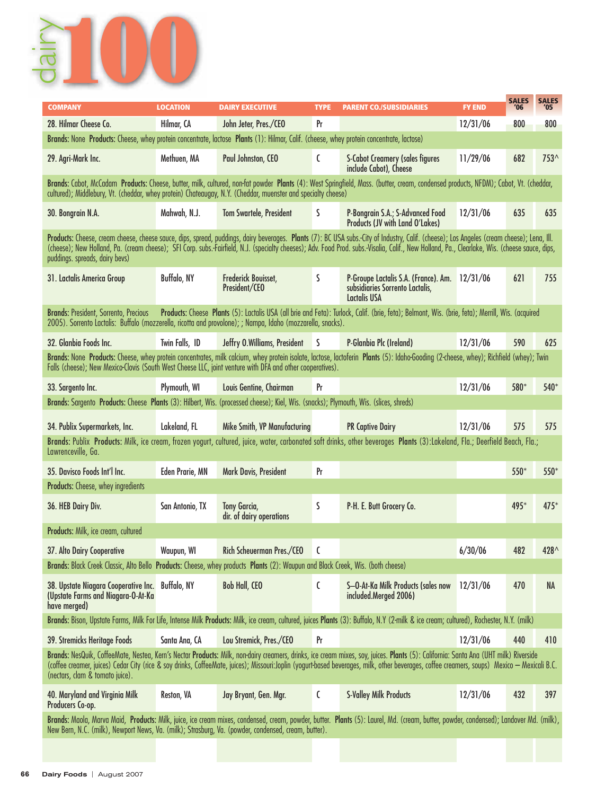

| <b>COMPANY</b>                                                                                                                                              | <b>LOCATION</b>    | <b>DAIRY EXECUTIVE</b>                          | <b>TYPE</b> | <b>PARENT CO./SUBSIDIARIES</b>                                                                                                                                                                                                                                                                                                                                                             | <b>FY END</b> | <b>SALES</b><br>'06 | <b>SALES</b><br>'05 |
|-------------------------------------------------------------------------------------------------------------------------------------------------------------|--------------------|-------------------------------------------------|-------------|--------------------------------------------------------------------------------------------------------------------------------------------------------------------------------------------------------------------------------------------------------------------------------------------------------------------------------------------------------------------------------------------|---------------|---------------------|---------------------|
| 28. Hilmar Cheese Co.                                                                                                                                       | Hilmar, CA         | John Jeter, Pres./CEO                           | Pr          |                                                                                                                                                                                                                                                                                                                                                                                            | 12/31/06      | 800                 | 800                 |
| Brands: None Products: Cheese, whey protein concentrate, lactose Plants (1): Hilmar, Calif. (cheese, whey protein concentrate, lactose)                     |                    |                                                 |             |                                                                                                                                                                                                                                                                                                                                                                                            |               |                     |                     |
| 29. Agri-Mark Inc.                                                                                                                                          | Methuen, MA        | Paul Johnston, CEO                              | C           | <b>S-Cabot Creamery (sales figures</b><br>include Cabot), Cheese                                                                                                                                                                                                                                                                                                                           | 11/29/06      | 682                 | 753^                |
| cultured); Middlebury, Vt. (cheddar, whey protein) Chateaugay, N.Y. (Cheddar, muenster and specialty cheese)                                                |                    |                                                 |             | Brands: Cabot, McCadam Products: Cheese, butter, milk, cultured, non-fat powder Plants (4): West Springfield, Mass. (butter, cream, condensed products, NFDM); Cabot, Vt. (cheddar,                                                                                                                                                                                                        |               |                     |                     |
| 30. Bongrain N.A.                                                                                                                                           | Mahwah, N.J.       | <b>Tom Swartele, President</b>                  | S           | P-Bongrain S.A.; S-Advanced Food<br><b>Products (JV with Land O'Lakes)</b>                                                                                                                                                                                                                                                                                                                 | 12/31/06      | 635                 | 635                 |
| puddings. spreads, dairy bevs)                                                                                                                              |                    |                                                 |             | Products: Cheese, cream cheese, cheese sauce, dips, spread, puddings, dairy beverages. Plants (7): BC USA subs.-City of Industry, Calif. (cheese); Los Angeles (cream cheese); Lena, Ill.<br>(cheese); New Holland, Pa. (cream cheese); SFI Corp. subs.-Fairfield, N.J. (specialty cheeses); Adv. Food Prod. subs.-Visalia, Calif., New Holland, Pa., Clearlake, Wis. (cheese sauce, dips, |               |                     |                     |
| 31. Lactalis America Group                                                                                                                                  | <b>Buffalo, NY</b> | Frederick Bouisset,<br>President/CEO            | S           | P-Groupe Lactalis S.A. (France). Am. 12/31/06<br>subsidiaries Sorrento Lactalis,<br>Lactalis USA                                                                                                                                                                                                                                                                                           |               | 621                 | 755                 |
| <b>Brands: President, Sorrento, Precious</b><br>2005). Sorrento Lactalis: Buffalo (mozzerella, ricotta and provolone); ; Nampa, Idaho (mozzarella, snacks). |                    |                                                 |             | Products: Cheese Plants (5): Lactalis USA (all brie and Feta): Turlock, Calif. (brie, feta); Belmont, Wis. (brie, feta); Merrill, Wis. (acquired                                                                                                                                                                                                                                           |               |                     |                     |
| 32. Glanbia Foods Inc.                                                                                                                                      | Twin Falls, ID     | Jeffry O. Williams, President                   | S           | P-Glanbia Plc (Ireland)                                                                                                                                                                                                                                                                                                                                                                    | 12/31/06      | 590                 | 625                 |
| Falls (cheese); New Mexico-Clovis (South West Cheese LLC, joint venture with DFA and other cooperatives).                                                   |                    |                                                 |             | Brands: None Products: Cheese, whey protein concentrates, milk calcium, whey protein isolate, lactose, lactoferin Plants (5): Idaho-Gooding (2-cheese, whey); Richfield (whey); Twin                                                                                                                                                                                                       |               |                     |                     |
| 33. Sargento Inc.                                                                                                                                           | Plymouth, WI       | Louis Gentine, Chairman                         | Pr          |                                                                                                                                                                                                                                                                                                                                                                                            | 12/31/06      | 580*                | 540*                |
| Brands: Sargento Products: Cheese Plants (3): Hilbert, Wis. (processed cheese); Kiel, Wis. (snacks); Plymouth, Wis. (slices, shreds)                        |                    |                                                 |             |                                                                                                                                                                                                                                                                                                                                                                                            |               |                     |                     |
| 34. Publix Supermarkets, Inc.                                                                                                                               | Lakeland, FL       | <b>Mike Smith, VP Manufacturing</b>             |             | <b>PR Captive Dairy</b>                                                                                                                                                                                                                                                                                                                                                                    | 12/31/06      | 575                 | 575                 |
| Lawrenceville, Ga.                                                                                                                                          |                    |                                                 |             | Brands: Publix Products: Milk, ice cream, frozen yogurt, cultured, juice, water, carbonated soft drinks, other beverages Plants (3):Lakeland, Fla.; Deerfield Beach, Fla.;                                                                                                                                                                                                                 |               |                     |                     |
| 35. Davisco Foods Int'l Inc.                                                                                                                                | Eden Prarie, MN    | Mark Davis, President                           | Pr          |                                                                                                                                                                                                                                                                                                                                                                                            |               | 550*                | 550*                |
| Products: Cheese, whey ingredients                                                                                                                          |                    |                                                 |             |                                                                                                                                                                                                                                                                                                                                                                                            |               |                     |                     |
| 36. HEB Dairy Div.                                                                                                                                          | San Antonio, TX    | <b>Tony Garcia,</b><br>dir. of dairy operations | ς           | P-H. E. Butt Grocery Co.                                                                                                                                                                                                                                                                                                                                                                   |               | 495*                | $475*$              |
| Products: Milk, ice cream, cultured                                                                                                                         |                    |                                                 |             |                                                                                                                                                                                                                                                                                                                                                                                            |               |                     |                     |
| 37. Alto Dairy Cooperative                                                                                                                                  | Waupun, WI         | Rich Scheuerman Pres./CEO                       | C           |                                                                                                                                                                                                                                                                                                                                                                                            | 6/30/06       | 482                 | 428^                |
| Brands: Black Creek Classic, Alto Bello Products: Cheese, whey products Plants (2): Waupun and Black Creek, Wis. (both cheese)                              |                    |                                                 |             |                                                                                                                                                                                                                                                                                                                                                                                            |               |                     |                     |
| 38. Upstate Niagara Cooperative Inc. Buffalo, NY<br>(Upstate Farms and Niagara-O-At-Ka<br>have merged)                                                      |                    | <b>Bob Hall, CEO</b>                            | C           | S-O-At-Ka Milk Products (sales now<br>included.Merged 2006)                                                                                                                                                                                                                                                                                                                                | 12/31/06      | 470                 | NA                  |
|                                                                                                                                                             |                    |                                                 |             | Brands: Bison, Upstate Farms, Milk For Life, Intense Milk Products: Milk, ice cream, cultured, juices Plants (3): Buffalo, N.Y (2-milk & ice cream; cultured), Rochester, N.Y. (milk)                                                                                                                                                                                                      |               |                     |                     |
| 39. Stremicks Heritage Foods                                                                                                                                | Santa Ana, CA      | Lou Stremick, Pres./CEO                         | Pr          |                                                                                                                                                                                                                                                                                                                                                                                            | 12/31/06      | 440                 | 410                 |
| (nectars, clam & tomato juice).                                                                                                                             |                    |                                                 |             | Brands: NesQuik, CoffeeMate, Nestea, Kern's Nectar Products: Milk, non-dairy creamers, drinks, ice cream mixes, soy, juices. Plants (5): California: Santa Ana (UHT milk) Riverside<br>(coffee creamer, juices) Cedar City (rice & soy drinks, CoffeeMate, juices); Missouri:Joplin (yogurt-based beverages, milk, other beverages, coffee creamers, soups) Mexico — Mexicali B.C.         |               |                     |                     |
| 40. Maryland and Virginia Milk<br>Producers Co-op.                                                                                                          | Reston, VA         | Jay Bryant, Gen. Mgr.                           | C           | <b>S-Valley Milk Products</b>                                                                                                                                                                                                                                                                                                                                                              | 12/31/06      | 432                 | 397                 |
| New Bern, N.C. (milk), Newport News, Va. (milk); Strasburg, Va. (powder, condensed, cream, butter).                                                         |                    |                                                 |             | Brands: Maola, Marva Maid, Products: Milk, juice, ice cream mixes, condensed, cream, powder, butter. Plants (5): Laurel, Md. (cream, butter, powder, condensed); Landover Md. (milk),                                                                                                                                                                                                      |               |                     |                     |
|                                                                                                                                                             |                    |                                                 |             |                                                                                                                                                                                                                                                                                                                                                                                            |               |                     |                     |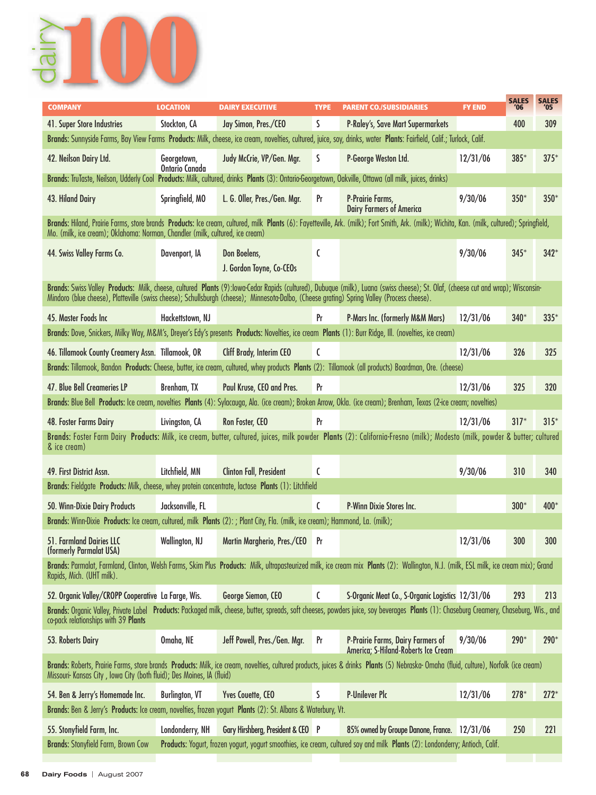

| <b>COMPANY</b>                                                                                                                              | <b>LOCATION</b>               | <b>DAIRY EXECUTIVE</b>                   | <b>TYPE</b>    | <b>PARENT CO./SUBSIDIARIES</b>                                                                                                                                                               | <b>FY END</b> | <b>SALES</b><br>'06 | <b>SALES</b><br>'05 |
|---------------------------------------------------------------------------------------------------------------------------------------------|-------------------------------|------------------------------------------|----------------|----------------------------------------------------------------------------------------------------------------------------------------------------------------------------------------------|---------------|---------------------|---------------------|
| 41. Super Store Industries                                                                                                                  | Stockton, CA                  | Jay Simon, Pres./CEO                     | S              | <b>P-Raley's, Save Mart Supermarkets</b>                                                                                                                                                     |               | 400                 | 309                 |
|                                                                                                                                             |                               |                                          |                | Brands: Sunnyside Farms, Bay View Farms Products: Milk, cheese, ice cream, novelties, cultured, juice, soy, drinks, water Plants: Fairfield, Calif.; Turlock, Calif.                         |               |                     |                     |
| 42. Neilson Dairy Ltd.                                                                                                                      | Georgetown,<br>Ontario Canada | Judy McCrie, VP/Gen. Mgr.                | S              | P-George Weston Ltd.                                                                                                                                                                         | 12/31/06      | $385*$              | $375*$              |
|                                                                                                                                             |                               |                                          |                | Brands: TruTaste, Neilson, Udderly Cool Products: Milk, cultured, drinks Plants (3): Ontario-Georgetown, Oakville, Ottawa (all milk, juices, drinks)                                         |               |                     |                     |
| 43. Hiland Dairy                                                                                                                            | Springfield, MO               | L. G. Oller, Pres./Gen. Mgr.             | Pr             | P-Prairie Farms,<br><b>Dairy Farmers of America</b>                                                                                                                                          | 9/30/06       | $350*$              | $350*$              |
| Mo. (milk, ice cream); Oklahoma: Norman, Chandler (milk, cultured, ice cream)                                                               |                               |                                          |                | Brands: Hiland, Prairie Farms, store brands Products: Ice cream, cultured, milk Plants (6): Fayetteville, Ark. (milk); Fort Smith, Ark. (milk); Wichita, Kan. (milk, cultured); Springfield, |               |                     |                     |
| 44. Swiss Valley Farms Co.                                                                                                                  | Davenport, IA                 | Don Boelens,<br>J. Gordon Toyne, Co-CEOs | C              |                                                                                                                                                                                              | 9/30/06       | $345*$              | $342*$              |
| Mindoro (blue cheese), Platteville (swiss cheese); Schullsburgh (cheese); Minnesota-Dalbo, (Cheese grating) Spring Valley (Process cheese). |                               |                                          |                | Brands: Swiss Valley Products: Milk, cheese, cultured Plants (9):lowa-Cedar Rapids (cultured), Dubuque (milk), Luana (swiss cheese); St. Olaf, (cheese cut and wrap); Wisconsin-             |               |                     |                     |
| 45. Master Foods Inc.                                                                                                                       | Hackettstown, NJ              |                                          | Pr             | <b>P-Mars Inc. (formerly M&amp;M Mars)</b>                                                                                                                                                   | 12/31/06      | $340*$              | $335*$              |
|                                                                                                                                             |                               |                                          |                | Brands: Dove, Snickers, Milky Way, M&M's, Dreyer's Edy's presents Products: Novelties, ice cream Plants (1): Burr Ridge, Ill. (novelties, ice cream)                                         |               |                     |                     |
| 46. Tillamook County Creamery Assn. Tillamook, OR                                                                                           |                               | Cliff Brady, Interim CEO                 | C              |                                                                                                                                                                                              | 12/31/06      | 326                 | 325                 |
|                                                                                                                                             |                               |                                          |                | Brands: Tillamook, Bandon Products: Cheese, butter, ice cream, cultured, whey products Plants (2): Tillamook (all products) Boardman, Ore. (cheese)                                          |               |                     |                     |
| 47. Blue Bell Creameries LP                                                                                                                 | Brenham, TX                   | Paul Kruse, CEO and Pres.                | Pr             |                                                                                                                                                                                              | 12/31/06      | 325                 | 320                 |
|                                                                                                                                             |                               |                                          |                | Brands: Blue Bell Products: Ice cream, novelties Plants (4): Sylacauga, Ala. (ice cream); Broken Arrow, Okla. (ice cream); Brenham, Texas (2-ice cream; novelties)                           |               |                     |                     |
| 48. Foster Farms Dairy                                                                                                                      | Livingston, CA                | Ron Foster, CEO                          | Pr             |                                                                                                                                                                                              | 12/31/06      | $317*$              | $315*$              |
|                                                                                                                                             |                               |                                          |                | Brands: Foster Farm Dairy Products: Milk, ice cream, butter, cultured, juices, milk powder Plants (2): California-Fresno (milk); Modesto (milk, powder & butter; cultured                    |               |                     |                     |
| & ice cream)                                                                                                                                |                               |                                          |                |                                                                                                                                                                                              |               |                     |                     |
| 49. First District Assn.                                                                                                                    | Litchfield, MN                | <b>Clinton Fall, President</b>           | C              |                                                                                                                                                                                              | 9/30/06       | 310                 | 340                 |
| Brands: Fieldgate Products: Milk, cheese, whey protein concentrate, lactose Plants (1): Litchfield                                          |                               |                                          |                |                                                                                                                                                                                              |               |                     |                     |
| 50. Winn-Dixie Dairy Products                                                                                                               | Jacksonville, FL              |                                          | $\mathfrak{c}$ | P-Winn Dixie Stores Inc.                                                                                                                                                                     |               | $300*$              | 400*                |
| Brands: Winn-Dixie Products: Ice cream, cultured, milk Plants (2): ; Plant City, Fla. (milk, ice cream); Hammond, La. (milk);               |                               |                                          |                |                                                                                                                                                                                              |               |                     |                     |
| 51. Farmland Dairies LLC<br>(formerly Parmalat USA)                                                                                         | Wallington, NJ                | Martin Margherio, Pres./CEO              | Pr             |                                                                                                                                                                                              | 12/31/06      | 300                 | 300                 |
| Rapids, Mich. (UHT milk).                                                                                                                   |                               |                                          |                | Brands: Parmalat, Farmland, Clinton, Welsh Farms, Skim Plus Products: Milk, ultrapasteurized milk, ice cream mix Plants (2): Wallington, N.J. (milk, ESL milk, ice cream mix); Grand         |               |                     |                     |
| 52. Organic Valley/CROPP Cooperative La Farge, Wis.                                                                                         |                               | George Siemon, CEO                       | C              | S-Organic Meat Co., S-Organic Logistics 12/31/06                                                                                                                                             |               | 293                 | 213                 |
| co-pack relationships with 39 Plants                                                                                                        |                               |                                          |                | Brands: Organic Valley, Private Label Products: Packaged milk, cheese, butter, spreads, soft cheeses, powders juice, soy beverages Plants (1): Chaseburg Creamery, Chaseburg, Wis., and      |               |                     |                     |
| 53. Roberts Dairy                                                                                                                           | Omaha, NE                     | Jeff Powell, Pres./Gen. Mgr.             | Pr             | P-Prairie Farms, Dairy Farmers of<br>America; S-Hiland-Roberts Ice Cream                                                                                                                     | 9/30/06       | $290*$              | 290*                |
| Missouri- Kansas City, Iowa City (both fluid); Des Moines, IA (fluid)                                                                       |                               |                                          |                | Brands: Roberts, Prairie Farms, store brands Products: Milk, ice cream, novelties, cultured products, juices & drinks Plants (5) Nebraska- Omaha (fluid, culture), Norfolk (ice cream)       |               |                     |                     |
| 54. Ben & Jerry's Homemade Inc.                                                                                                             | <b>Burlington, VT</b>         | Yves Couette, CEO                        | S              | P-Unilever Plc                                                                                                                                                                               | 12/31/06      | $278*$              | $272*$              |
| Brands: Ben & Jerry's Products: Ice cream, novelties, frozen yogurt Plants (2): St. Albans & Waterbury, Vt.                                 |                               |                                          |                |                                                                                                                                                                                              |               |                     |                     |
| 55. Stonyfield Farm, Inc.                                                                                                                   | Londonderry, NH               | Gary Hirshberg, President & CEO P        |                | 85% owned by Groupe Danone, France. 12/31/06                                                                                                                                                 |               | 250                 | 221                 |
| <b>Brands: Stonyfield Farm, Brown Cow</b>                                                                                                   |                               |                                          |                | Products: Yogurt, frozen yogurt, yogurt smoothies, ice cream, cultured soy and milk Plants (2): Londonderry; Antioch, Calif.                                                                 |               |                     |                     |
|                                                                                                                                             |                               |                                          |                |                                                                                                                                                                                              |               |                     |                     |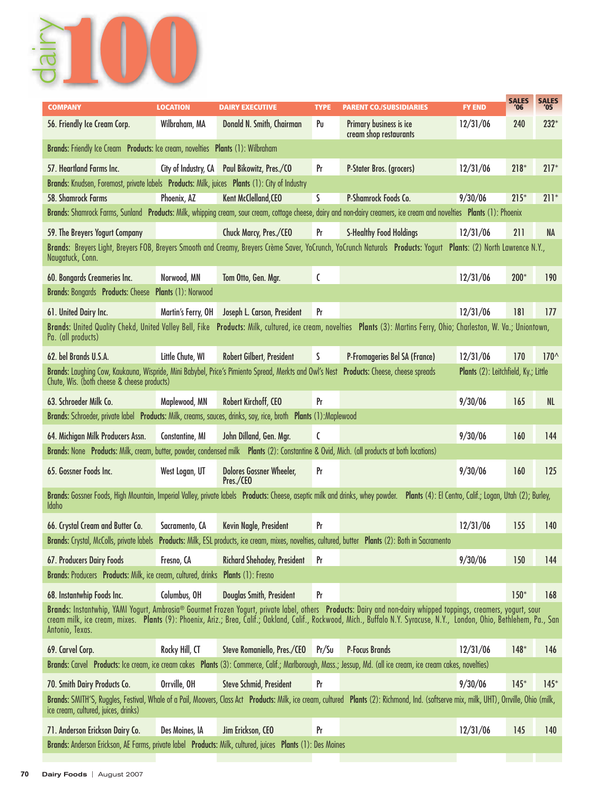

| <b>COMPANY</b>                                                                                                                                                                         | <b>LOCATION</b>      | <b>DAIRY EXECUTIVE</b>                       | <b>TYPE</b> | <b>PARENT CO./SUBSIDIARIES</b>                                                                                                                                                           | <b>FY END</b>                        | <b>SALES</b><br>'06 | <b>SALES</b><br>'05 |
|----------------------------------------------------------------------------------------------------------------------------------------------------------------------------------------|----------------------|----------------------------------------------|-------------|------------------------------------------------------------------------------------------------------------------------------------------------------------------------------------------|--------------------------------------|---------------------|---------------------|
| 56. Friendly Ice Cream Corp.                                                                                                                                                           | Wilbraham, MA        | Donald N. Smith, Chairman                    | Pu          | Primary business is ice<br>cream shop restaurants                                                                                                                                        | 12/31/06                             | 240                 | $232*$              |
| Brands: Friendly Ice Cream Products: Ice cream, novelties Plants (1): Wilbraham                                                                                                        |                      |                                              |             |                                                                                                                                                                                          |                                      |                     |                     |
| 57. Heartland Farms Inc.                                                                                                                                                               | City of Industry, CA | Paul Bikowitz, Pres./CO                      | Pr          | P-Stater Bros. (grocers)                                                                                                                                                                 | 12/31/06                             | $218*$              | $217*$              |
| Brands: Knudsen, Foremost, private labels Products: Milk, juices Plants (1): City of Industry                                                                                          |                      |                                              |             |                                                                                                                                                                                          |                                      |                     |                     |
| 58. Shamrock Farms                                                                                                                                                                     | Phoenix, AZ          | Kent McClelland, CEO                         | S           | P-Shamrock Foods Co.                                                                                                                                                                     | 9/30/06                              | $215*$              | $211*$              |
|                                                                                                                                                                                        |                      |                                              |             | Brands: Shamrock Farms, Sunland Products: Milk, whipping cream, sour cream, cottage cheese, dairy and non-dairy creamers, ice cream and novelties Plants (1): Phoenix                    |                                      |                     |                     |
| 59. The Breyers Yogurt Company                                                                                                                                                         |                      | Chuck Marcy, Pres./CEO                       | Pr          | <b>S-Healthy Food Holdings</b>                                                                                                                                                           | 12/31/06                             | 211                 | <b>NA</b>           |
| Naugatuck, Conn.                                                                                                                                                                       |                      |                                              |             | Brands: Breyers Light, Breyers FOB, Breyers Smooth and Creamy, Breyers Crème Saver, YoCrunch, YoCrunch Naturals Products: Yogurt Plants: (2) North Lawrence N.Y.,                        |                                      |                     |                     |
| 60. Bongards Creameries Inc.                                                                                                                                                           | Norwood, MN          | Tom Otto, Gen. Mgr.                          | C           |                                                                                                                                                                                          | 12/31/06                             | $200*$              | 190                 |
| Brands: Bongards Products: Cheese Plants (1): Norwood                                                                                                                                  |                      |                                              |             |                                                                                                                                                                                          |                                      |                     |                     |
| 61. United Dairy Inc.                                                                                                                                                                  | Martin's Ferry, OH   | Joseph L. Carson, President                  | Pr          |                                                                                                                                                                                          | 12/31/06                             | 181                 | 177                 |
|                                                                                                                                                                                        |                      |                                              |             | Brands: United Quality Chekd, United Valley Bell, Fike Products: Milk, cultured, ice cream, novelties Plants (3): Martins Ferry, Ohio; Charleston, W. Va.; Uniontown,                    |                                      |                     |                     |
| Pa. (all products)                                                                                                                                                                     |                      |                                              |             |                                                                                                                                                                                          |                                      |                     |                     |
| 62. bel Brands U.S.A.                                                                                                                                                                  | Little Chute, WI     | Robert Gilbert, President                    | S           | P-Fromageries Bel SA (France)                                                                                                                                                            | 12/31/06                             | 170                 | $170^$              |
| Brands: Laughing Cow, Kaukauna, Wispride, Mini Babybel, Price's Pimiento Spread, Merkts and Owl's Nest Products: Cheese, cheese spreads<br>Chute, Wis. (both cheese & cheese products) |                      |                                              |             |                                                                                                                                                                                          | Plants (2): Leitchfield, Ky.; Little |                     |                     |
| 63. Schroeder Milk Co.                                                                                                                                                                 | Maplewood, MN        | Robert Kirchoff, CEO                         | Pr          |                                                                                                                                                                                          | 9/30/06                              | 165                 | <b>NL</b>           |
| Brands: Schroeder, private label Products: Milk, creams, sauces, drinks, soy, rice, broth Plants (1): Maplewood                                                                        |                      |                                              |             |                                                                                                                                                                                          |                                      |                     |                     |
| 64. Michigan Milk Producers Assn.                                                                                                                                                      | Constantine, MI      | John Dilland, Gen. Mgr.                      | C           |                                                                                                                                                                                          | 9/30/06                              | 160                 | 144                 |
| Brands: None Products: Milk, cream, butter, powder, condensed milk Plants (2): Constantine & Ovid, Mich. (all products at both locations)                                              |                      |                                              |             |                                                                                                                                                                                          |                                      |                     |                     |
| 65. Gossner Foods Inc.                                                                                                                                                                 | West Logan, UT       | <b>Dolores Gossner Wheeler,</b><br>Pres./CEO | Pr          |                                                                                                                                                                                          | 9/30/06                              | 160                 | 125                 |
| Brands: Gossner Foods, High Mountain, Imperial Valley, private labels Products: Cheese, aseptic milk and drinks, whey powder.<br><b>Idaho</b>                                          |                      |                                              |             | Plants (4): El Centro, Calif.; Logan, Utah (2); Burley,                                                                                                                                  |                                      |                     |                     |
| 66. Crystal Cream and Butter Co.                                                                                                                                                       | Sacramento, CA       | Kevin Nagle, President                       | Pr          |                                                                                                                                                                                          | 12/31/06                             | 155                 | 140                 |
| <b>Brands: Crystal, McColls, private labels</b>                                                                                                                                        |                      |                                              |             | Products: Milk, ESL products, ice cream, mixes, novelties, cultured, butter Plants (2): Both in Sacramento                                                                               |                                      |                     |                     |
| 67. Producers Dairy Foods                                                                                                                                                              | Fresno, CA           | <b>Richard Shehadey, President</b>           | Pr          |                                                                                                                                                                                          | 9/30/06                              | 150                 | 144                 |
| Brands: Producers Products: Milk, ice cream, cultured, drinks Plants (1): Fresno                                                                                                       |                      |                                              |             |                                                                                                                                                                                          |                                      |                     |                     |
|                                                                                                                                                                                        |                      |                                              |             |                                                                                                                                                                                          |                                      |                     |                     |
| 68. Instantwhip Foods Inc.                                                                                                                                                             | Columbus, OH         | Douglas Smith, President                     | Pr          | Brands: Instantwhip, YAMI Yogurt, Ambrosia® Gourmet Frozen Yogurt, private label, others Products: Dairy and non-dairy whipped toppings, creamers, yogurt, sour                          |                                      | $150*$              | 168                 |
| Antonio, Texas.                                                                                                                                                                        |                      |                                              |             | cream milk, ice cream, mixes. Plants (9): Phoenix, Ariz.; Brea, Calif.; Oakland, Calif., Rockwood, Mich., Buffalo N.Y. Syracuse, N.Y., London, Ohio, Bethlehem, Pa., San                 |                                      |                     |                     |
| 69. Carvel Corp.                                                                                                                                                                       | Rocky Hill, CT       | Steve Romaniello, Pres./CEO                  | Pr/Su       | <b>P-Focus Brands</b>                                                                                                                                                                    | 12/31/06                             | $148*$              | 146                 |
|                                                                                                                                                                                        |                      |                                              |             | Brands: Carvel Products: Ice cream, ice cream cakes Plants (3): Commerce, Calif.; Marlborough, Mass.; Jessup, Md. (all ice cream, ice cream cakes, novelties)                            |                                      |                     |                     |
| 70. Smith Dairy Products Co.                                                                                                                                                           | Orrville, OH         | <b>Steve Schmid, President</b>               | Pr          |                                                                                                                                                                                          | 9/30/06                              | $145*$              | $145*$              |
| ice cream, cultured, juices, drinks)                                                                                                                                                   |                      |                                              |             | Brands: SMITH'S, Ruggles, Festival, Whale of a Pail, Moovers, Class Act Products: Milk, ice cream, cultured Plants (2): Richmond, Ind. (softserve mix, milk, UHT), Orrville, Ohio (milk, |                                      |                     |                     |
| 71. Anderson Erickson Dairy Co.                                                                                                                                                        | Des Moines, IA       | Jim Erickson, CEO                            | Pr          |                                                                                                                                                                                          | 12/31/06                             | 145                 | 140                 |
| Brands: Anderson Erickson, AE Farms, private label Products: Milk, cultured, juices Plants (1): Des Moines                                                                             |                      |                                              |             |                                                                                                                                                                                          |                                      |                     |                     |
|                                                                                                                                                                                        |                      |                                              |             |                                                                                                                                                                                          |                                      |                     |                     |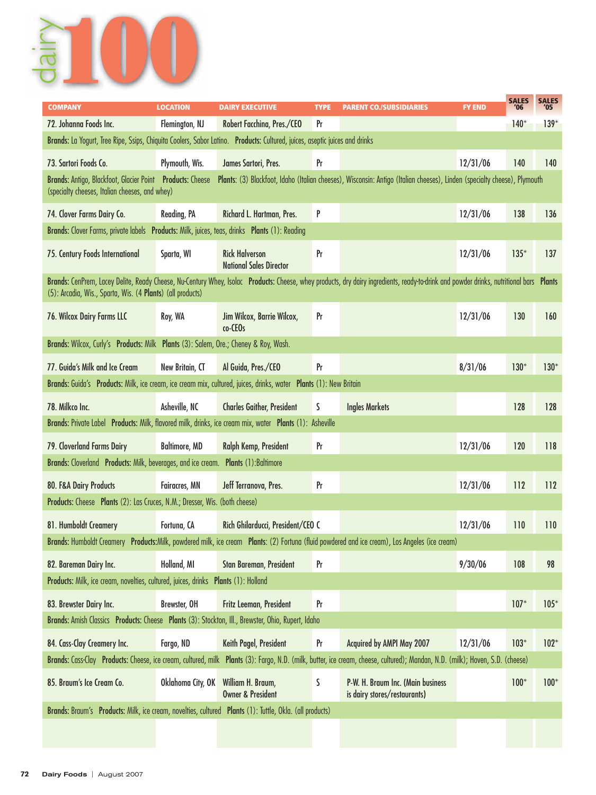

| <b>COMPANY</b>                                                                                                                                                                                                                                       | <b>LOCATION</b>      | <b>DAIRY EXECUTIVE</b>                                              | <b>TYPE</b> | <b>PARENT CO./SUBSIDIARIES</b>                                    | <b>FY END</b> | <b>SALES</b><br>'06 | <b>SALES</b><br>'05 |  |  |  |  |  |
|------------------------------------------------------------------------------------------------------------------------------------------------------------------------------------------------------------------------------------------------------|----------------------|---------------------------------------------------------------------|-------------|-------------------------------------------------------------------|---------------|---------------------|---------------------|--|--|--|--|--|
| 72. Johanna Foods Inc.                                                                                                                                                                                                                               | Flemington, NJ       | Robert Facchina, Pres./CEO                                          | Pr          |                                                                   |               | $140*$              | $139*$              |  |  |  |  |  |
| Brands: La Yogurt, Tree Ripe, Ssips, Chiquita Coolers, Sabor Latino. Products: Cultured, juices, aseptic juices and drinks                                                                                                                           |                      |                                                                     |             |                                                                   |               |                     |                     |  |  |  |  |  |
| 73. Sartori Foods Co.                                                                                                                                                                                                                                | Plymouth, Wis.       | James Sartori, Pres.                                                | Pr          |                                                                   | 12/31/06      | 140                 | 140                 |  |  |  |  |  |
| Brands: Antigo, Blackfoot, Glacier Point Products: Cheese<br>Plants: (3) Blackfoot, Idaho (Italian cheeses), Wisconsin: Antigo (Italian cheeses), Linden (specialty cheese), Plymouth<br>(specialty cheeses, Italian cheeses, and whey)              |                      |                                                                     |             |                                                                   |               |                     |                     |  |  |  |  |  |
| 74. Clover Farms Dairy Co.                                                                                                                                                                                                                           | Reading, PA          | Richard L. Hartman, Pres.                                           | P           |                                                                   | 12/31/06      | 138                 | 136                 |  |  |  |  |  |
| Brands: Clover Farms, private labels Products: Milk, juices, teas, drinks Plants (1): Reading                                                                                                                                                        |                      |                                                                     |             |                                                                   |               |                     |                     |  |  |  |  |  |
| 75. Century Foods International                                                                                                                                                                                                                      | Sparta, WI           | <b>Rick Halverson</b><br><b>National Sales Director</b>             | Pr          |                                                                   | 12/31/06      | $135*$              | 137                 |  |  |  |  |  |
| Brands: CenPrem, Lacey Delite, Ready Cheese, Nu-Century Whey, Isolac Products: Cheese, whey products, dry dairy ingredients, ready-to-drink and powder drinks, nutritional bars Plants<br>(5): Arcadia, Wis., Sparta, Wis. (4 Plants) (all products) |                      |                                                                     |             |                                                                   |               |                     |                     |  |  |  |  |  |
| 76. Wilcox Dairy Farms LLC                                                                                                                                                                                                                           | Roy, WA              | Jim Wilcox, Barrie Wilcox,<br>co-CEOs                               | Pr          |                                                                   | 12/31/06      | 130                 | 160                 |  |  |  |  |  |
| Brands: Wilcox, Curly's Products: Milk Plants (3): Salem, Ore.; Cheney & Roy, Wash.                                                                                                                                                                  |                      |                                                                     |             |                                                                   |               |                     |                     |  |  |  |  |  |
| 77. Guida's Milk and Ice Cream                                                                                                                                                                                                                       | New Britain, CT      | Al Guida, Pres./CEO                                                 | Pr          |                                                                   | 8/31/06       | $130*$              | $130*$              |  |  |  |  |  |
| Brands: Guida's Products: Milk, ice cream, ice cream mix, cultured, juices, drinks, water Plants (1): New Britain                                                                                                                                    |                      |                                                                     |             |                                                                   |               |                     |                     |  |  |  |  |  |
| 78. Milkco Inc.                                                                                                                                                                                                                                      | Asheville, NC        | <b>Charles Gaither, President</b>                                   | S           | <b>Ingles Markets</b>                                             |               | 128                 | 128                 |  |  |  |  |  |
| Brands: Private Label Products: Milk, flavored milk, drinks, ice cream mix, water Plants (1): Asheville                                                                                                                                              |                      |                                                                     |             |                                                                   |               |                     |                     |  |  |  |  |  |
| 79. Cloverland Farms Dairy                                                                                                                                                                                                                           | <b>Baltimore, MD</b> | Ralph Kemp, President                                               | Pr          |                                                                   | 12/31/06      | 120                 | 118                 |  |  |  |  |  |
| Brands: Cloverland Products: Milk, beverages, and ice cream. Plants (1): Baltimore                                                                                                                                                                   |                      |                                                                     |             |                                                                   |               |                     |                     |  |  |  |  |  |
| 80. F&A Dairy Products                                                                                                                                                                                                                               | <b>Fairacres, MN</b> | Jeff Terranova, Pres.                                               | Pr          |                                                                   | 12/31/06      | 112                 | 112                 |  |  |  |  |  |
| Products: Cheese Plants (2): Las Cruces, N.M.; Dresser, Wis. (both cheese)                                                                                                                                                                           |                      |                                                                     |             |                                                                   |               |                     |                     |  |  |  |  |  |
| 81. Humboldt Creamery                                                                                                                                                                                                                                | Fortuna, CA          | Rich Ghilarducci, President/CEO C                                   |             |                                                                   | 12/31/06      | 110                 | 110                 |  |  |  |  |  |
| Brands: Humboldt Creamery Products: Milk, powdered milk, ice cream Plants: (2) Fortuna (fluid powdered and ice cream), Los Angeles (ice cream)                                                                                                       |                      |                                                                     |             |                                                                   |               |                     |                     |  |  |  |  |  |
| 82. Bareman Dairy Inc.                                                                                                                                                                                                                               | Holland, MI          | Stan Bareman, President                                             | Pr          |                                                                   | 9/30/06       | 108                 | 98                  |  |  |  |  |  |
| Products: Milk, ice cream, novelties, cultured, juices, drinks Plants (1): Holland                                                                                                                                                                   |                      |                                                                     |             |                                                                   |               |                     |                     |  |  |  |  |  |
| 83. Brewster Dairy Inc.                                                                                                                                                                                                                              | Brewster, OH         | Fritz Leeman, President                                             | Pr          |                                                                   |               | $107*$              | $105*$              |  |  |  |  |  |
| Brands: Amish Classics Products: Cheese Plants (3): Stockton, Ill., Brewster, Ohio, Rupert, Idaho                                                                                                                                                    |                      |                                                                     |             |                                                                   |               |                     |                     |  |  |  |  |  |
| 84. Cass-Clay Creamery Inc.                                                                                                                                                                                                                          | Fargo, ND            | Keith Pagel, President                                              | Pr          | Acquired by AMPI May 2007                                         | 12/31/06      | $103*$              | $102*$              |  |  |  |  |  |
| Brands: Cass-Clay Products: Cheese, ice cream, cultured, milk Plants (3): Fargo, N.D. (milk, butter, ice cream, cheese, cultured); Mandan, N.D. (milk); Hoven, S.D. (cheese)                                                                         |                      |                                                                     |             |                                                                   |               |                     |                     |  |  |  |  |  |
| 85. Braum's Ice Cream Co.                                                                                                                                                                                                                            |                      | Oklahoma City, OK William H. Braum,<br><b>Owner &amp; President</b> | S           | P-W. H. Braum Inc. (Main business<br>is dairy stores/restaurants) |               | $100*$              | $100*$              |  |  |  |  |  |
| Brands: Braum's Products: Milk, ice cream, novelties, cultured Plants (1): Tuttle, Okla. (all products)                                                                                                                                              |                      |                                                                     |             |                                                                   |               |                     |                     |  |  |  |  |  |
|                                                                                                                                                                                                                                                      |                      |                                                                     |             |                                                                   |               |                     |                     |  |  |  |  |  |